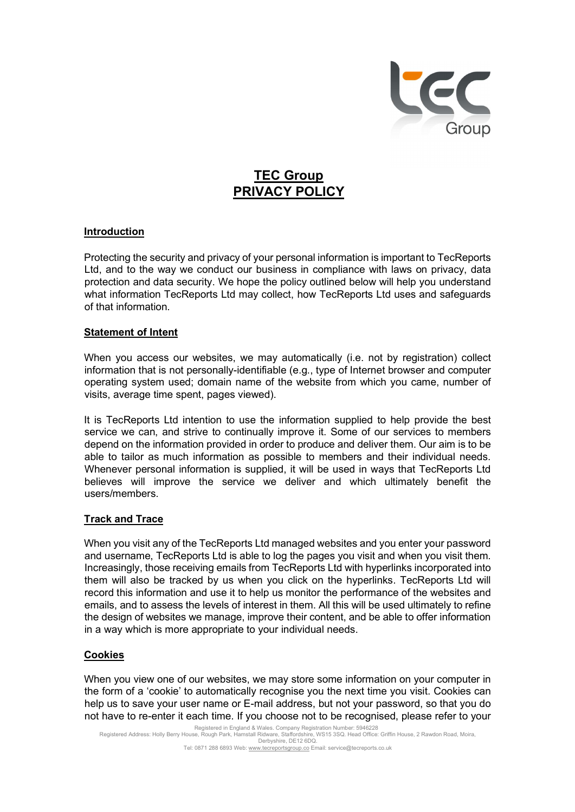

# TEC Group PRIVACY POLICY

# Introduction

Protecting the security and privacy of your personal information is important to TecReports Ltd, and to the way we conduct our business in compliance with laws on privacy, data protection and data security. We hope the policy outlined below will help you understand what information TecReports Ltd may collect, how TecReports Ltd uses and safeguards of that information.

### Statement of Intent

 When you access our websites, we may automatically (i.e. not by registration) collect information that is not personally-identifiable (e.g., type of Internet browser and computer operating system used; domain name of the website from which you came, number of visits, average time spent, pages viewed).

It is TecReports Ltd intention to use the information supplied to help provide the best service we can, and strive to continually improve it. Some of our services to members depend on the information provided in order to produce and deliver them. Our aim is to be able to tailor as much information as possible to members and their individual needs. Whenever personal information is supplied, it will be used in ways that TecReports Ltd believes will improve the service we deliver and which ultimately benefit the users/members.

Track and Trace<br>When you visit any of the TecReports Ltd managed websites and you enter your password and username, TecReports Ltd is able to log the pages you visit and when you visit them. Increasingly, those receiving emails from TecReports Ltd with hyperlinks incorporated into them will also be tracked by us when you click on the hyperlinks. TecReports Ltd will record this information and use it to help us monitor the performance of the websites and emails, and to assess the levels of interest in them. All this will be used ultimately to refine the design of websites we manage, improve their content, and be able to offer information in a way which is more appropriate to your individual needs.

Cookies<br>When you view one of our websites, we may store some information on your computer in the form of a 'cookie' to automatically recognise you the next time you visit. Cookies can help us to save your user name or E-mail address, but not your password, so that you do not have to re-enter it each time. If you choose not to be recognised, please refer to your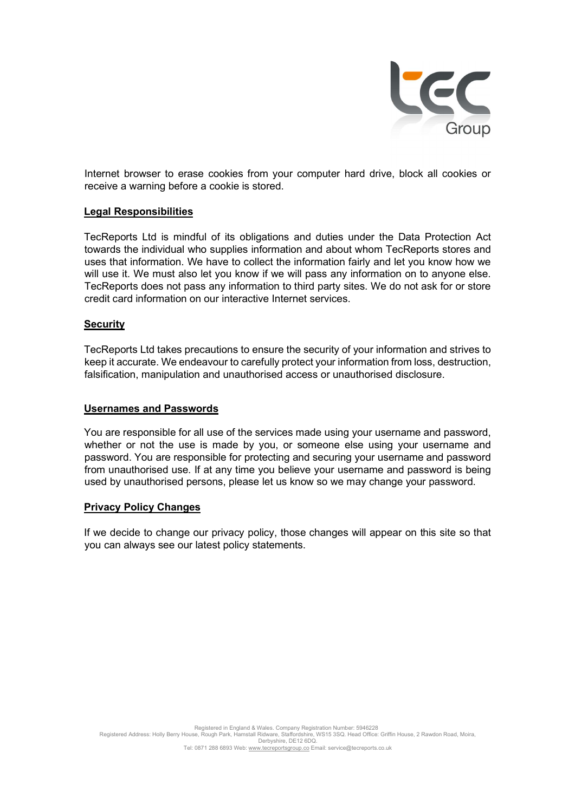

Internet browser to erase cookies from your computer hard drive, block all cookies or receive a warning before a cookie is stored.

## Legal Responsibilities

 TecReports Ltd is mindful of its obligations and duties under the Data Protection Act towards the individual who supplies information and about whom TecReports stores and uses that information. We have to collect the information fairly and let you know how we will use it. We must also let you know if we will pass any information on to anyone else. TecReports does not pass any information to third party sites. We do not ask for or store credit card information on our interactive Internet services.

## **Security**

 TecReports Ltd takes precautions to ensure the security of your information and strives to keep it accurate. We endeavour to carefully protect your information from loss, destruction, falsification, manipulation and unauthorised access or unauthorised disclosure.

<u>Usernames and Passwords</u><br>You are responsible for all use of the services made using your username and password, whether or not the use is made by you, or someone else using your username and password. You are responsible for protecting and securing your username and password from unauthorised use. If at any time you believe your username and password is being used by unauthorised persons, please let us know so we may change your password.

### Privacy Policy Changes

If we decide to change our privacy policy, those changes will appear on this site so that you can always see our latest policy statements.